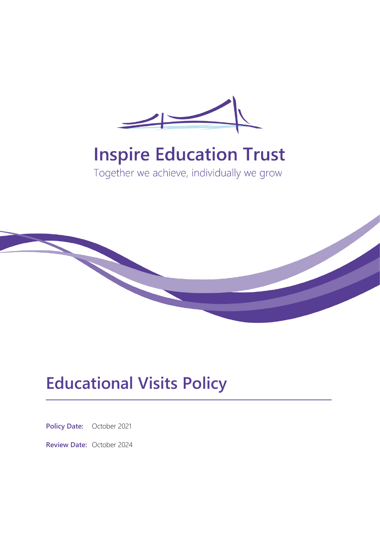

# **Inspire Education Trust**

Together we achieve, individually we grow



# **Educational Visits Policy**

**Policy Date:** October 2021

**Review Date:** October 2024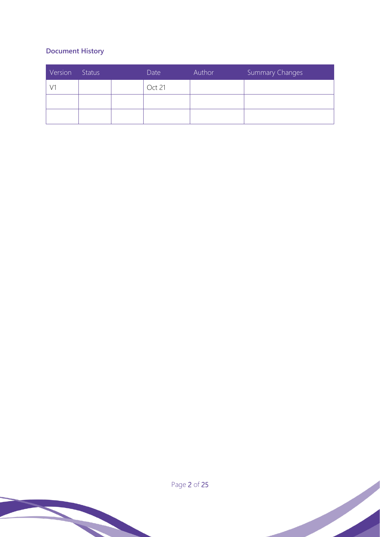# **Document History**

| Version | Status | Date   | Author | Summary Changes |
|---------|--------|--------|--------|-----------------|
|         |        | Oct 21 |        |                 |
|         |        |        |        |                 |
|         |        |        |        |                 |

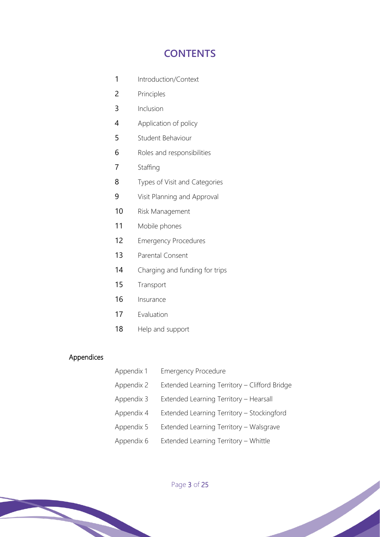# **CONTENTS**

- 1 Introduction/Context
- 2 Principles
- 3 Inclusion
- 4 Application of policy
- 5 Student Behaviour
- 6 Roles and responsibilities
- 7 Staffing
- 8 Types of Visit and Categories
- 9 Visit Planning and Approval
- 10 Risk Management
- 11 Mobile phones
- 12 Emergency Procedures
- 13 Parental Consent
- 14 Charging and funding for trips
- 15 Transport
- 16 Insurance
- 17 Evaluation
- 18 Help and support

#### Appendices

Appendix 1 Emergency Procedure Appendix 2 Extended Learning Territory – Clifford Bridge Appendix 3 Extended Learning Territory – Hearsall Appendix 4 Extended Learning Territory – Stockingford Appendix 5 Extended Learning Territory – Walsgrave Appendix 6 Extended Learning Territory – Whittle

Page 3 of 25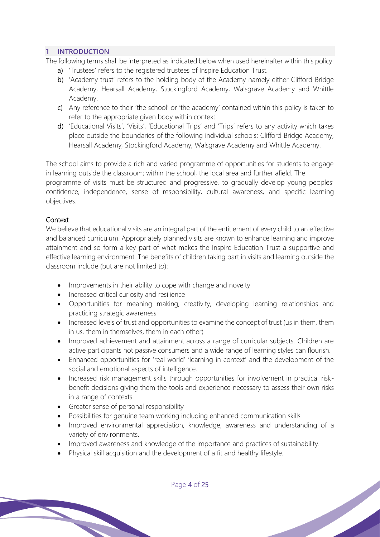# **1 INTRODUCTION**

The following terms shall be interpreted as indicated below when used hereinafter within this policy:

- a) 'Trustees' refers to the registered trustees of Inspire Education Trust.
- b) 'Academy trust' refers to the holding body of the Academy namely either Clifford Bridge Academy, Hearsall Academy, Stockingford Academy, Walsgrave Academy and Whittle Academy.
- c) Any reference to their 'the school' or 'the academy' contained within this policy is taken to refer to the appropriate given body within context.
- d) 'Educational Visits', 'Visits', 'Educational Trips' and 'Trips' refers to any activity which takes place outside the boundaries of the following individual schools: Clifford Bridge Academy, Hearsall Academy, Stockingford Academy, Walsgrave Academy and Whittle Academy.

The school aims to provide a rich and varied programme of opportunities for students to engage in learning outside the classroom; within the school, the local area and further afield. The programme of visits must be structured and progressive, to gradually develop young peoples' confidence, independence, sense of responsibility, cultural awareness, and specific learning objectives.

# **Context**

We believe that educational visits are an integral part of the entitlement of every child to an effective and balanced curriculum. Appropriately planned visits are known to enhance learning and improve attainment and so form a key part of what makes the Inspire Education Trust a supportive and effective learning environment. The benefits of children taking part in visits and learning outside the classroom include (but are not limited to):

- Improvements in their ability to cope with change and novelty
- Increased critical curiosity and resilience
- Opportunities for meaning making, creativity, developing learning relationships and practicing strategic awareness
- Increased levels of trust and opportunities to examine the concept of trust (us in them, them in us, them in themselves, them in each other)
- Improved achievement and attainment across a range of curricular subjects. Children are active participants not passive consumers and a wide range of learning styles can flourish.
- Enhanced opportunities for 'real world' 'learning in context' and the development of the social and emotional aspects of intelligence.
- Increased risk management skills through opportunities for involvement in practical riskbenefit decisions giving them the tools and experience necessary to assess their own risks in a range of contexts.
- Greater sense of personal responsibility
- Possibilities for genuine team working including enhanced communication skills
- Improved environmental appreciation, knowledge, awareness and understanding of a variety of environments.
- Improved awareness and knowledge of the importance and practices of sustainability.
- Physical skill acquisition and the development of a fit and healthy lifestyle.

Page 4 of 25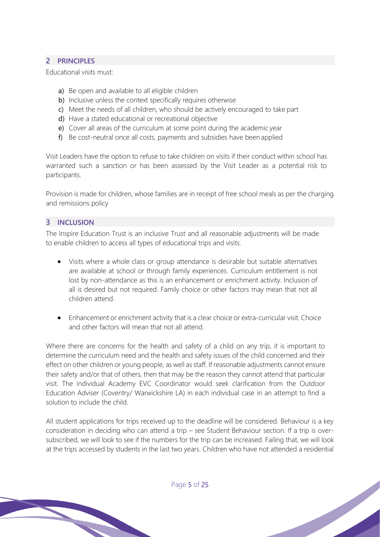# **2 PRINCIPLES**

Educational visits must:

- a) Be open and available to all eligible children
- b) Inclusive unless the context specifically requires otherwise
- c) Meet the needs of all children, who should be actively encouraged to take part
- d) Have a stated educational or recreational objective
- e) Cover all areas of the curriculum at some point during the academic year
- f) Be cost-neutral once all costs, payments and subsidies have been applied

Visit Leaders have the option to refuse to take children on visits if their conduct within school has warranted such a sanction or has been assessed by the Visit Leader as a potential risk to participants.

Provision is made for children, whose families are in receipt of free school meals as per the charging and remissions policy

#### **3 INCLUSION**

The Inspire Education Trust is an inclusive Trust and all reasonable adjustments will be made to enable children to access all types of educational trips and visits.

- Visits where a whole class or group attendance is desirable but suitable alternatives are available at school or through family experiences. Curriculum entitlement is not lost by non-attendance as this is an enhancement or enrichment activity. Inclusion of all is desired but not required. Family choice or other factors may mean that not all children attend.
- Enhancement or enrichment activity that is a clear choice or extra-curricular visit. Choice and other factors will mean that not all attend.

Where there are concerns for the health and safety of a child on any trip, it is important to determine the curriculum need and the health and safety issues of the child concerned and their effect on other children or young people, as well as staff. If reasonable adjustments cannot ensure their safety and/or that of others, then that may be the reason they cannot attend that particular visit. The individual Academy EVC Coordinator would seek clarification from the Outdoor Education Adviser (Coventry/ Warwickshire LA) in each individual case in an attempt to find a solution to include the child.

All student applications for trips received up to the deadline will be considered. Behaviour is a key consideration in deciding who can attend a trip – see Student Behaviour section. If a trip is oversubscribed, we will look to see if the numbers for the trip can be increased. Failing that, we will look at the trips accessed by students in the last two years. Children who have not attended a residential

Page 5 of 25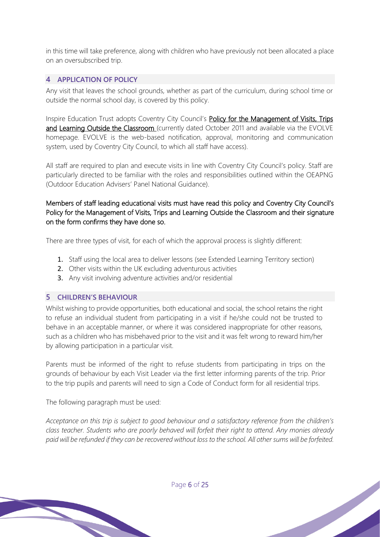in this time will take preference, along with children who have previously not been allocated a place on an oversubscribed trip.

# **4 APPLICATION OF POLICY**

Any visit that leaves the school grounds, whether as part of the curriculum, during school time or outside the normal school day, is covered by this policy.

Inspire Education Trust adopts Coventry City Council's Policy for the Management of Visits, Trips and Learning Outside the Classroom (currently dated October 2011 and available via the EVOLVE homepage. EVOLVE is the web-based notification, approval, monitoring and communication system, used by Coventry City Council, to which all staff have access).

All staff are required to plan and execute visits in line with Coventry City Council's policy. Staff are particularly directed to be familiar with the roles and responsibilities outlined within the OEAPNG (Outdoor Education Advisers' Panel National Guidance).

# Members of staff leading educational visits must have read this policy and Coventry City Council's Policy for the Management of Visits, Trips and Learning Outside the Classroom and their signature on the form confirms they have done so.

There are three types of visit, for each of which the approval process is slightly different:

- 1. Staff using the local area to deliver lessons (see Extended Learning Territory section)
- 2. Other visits within the UK excluding adventurous activities
- 3. Any visit involving adventure activities and/or residential

# **5 CHILDREN'S BEHAVIOUR**

Whilst wishing to provide opportunities, both educational and social, the school retains the right to refuse an individual student from participating in a visit if he/she could not be trusted to behave in an acceptable manner, or where it was considered inappropriate for other reasons, such as a children who has misbehaved prior to the visit and it was felt wrong to reward him/her by allowing participation in a particular visit.

Parents must be informed of the right to refuse students from participating in trips on the grounds of behaviour by each Visit Leader via the first letter informing parents of the trip. Prior to the trip pupils and parents will need to sign a Code of Conduct form for all residential trips.

The following paragraph must be used:

*Acceptance on this trip is subject to good behaviour and a satisfactory reference from the children's class teacher. Students who are poorly behaved will forfeit their right to attend. Any monies already paid will be refunded if they can be recovered without loss to the school. All other sums will be forfeited.*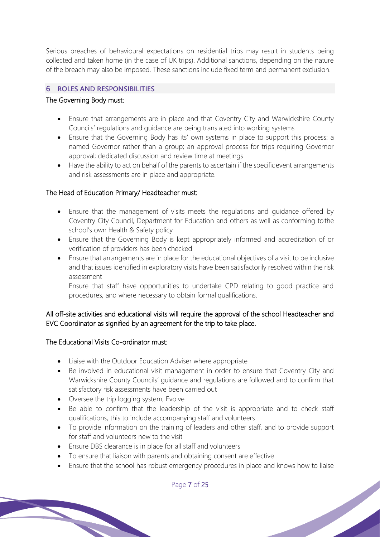Serious breaches of behavioural expectations on residential trips may result in students being collected and taken home (in the case of UK trips). Additional sanctions, depending on the nature of the breach may also be imposed. These sanctions include fixed term and permanent exclusion.

#### **6 ROLES AND RESPONSIBILITIES**

#### The Governing Body must:

- Ensure that arrangements are in place and that Coventry City and Warwickshire County Councils' regulations and guidance are being translated into working systems
- Ensure that the Governing Body has its' own systems in place to support this process: a named Governor rather than a group; an approval process for trips requiring Governor approval; dedicated discussion and review time at meetings
- Have the ability to act on behalf of the parents to ascertain if the specific event arrangements and risk assessments are in place and appropriate.

# The Head of Education Primary/ Headteacher must:

- Ensure that the management of visits meets the regulations and guidance offered by Coventry City Council, Department for Education and others as well as conforming to the school's own Health & Safety policy
- Ensure that the Governing Body is kept appropriately informed and accreditation of or verification of providers has been checked
- Ensure that arrangements are in place for the educational objectives of a visit to be inclusive and that issues identified in exploratory visits have been satisfactorily resolved within the risk assessment

Ensure that staff have opportunities to undertake CPD relating to good practice and procedures, and where necessary to obtain formal qualifications.

# All off-site activities and educational visits will require the approval of the school Headteacher and EVC Coordinator as signified by an agreement for the trip to take place.

#### The Educational Visits Co-ordinator must:

- Liaise with the Outdoor Education Adviser where appropriate
- Be involved in educational visit management in order to ensure that Coventry City and Warwickshire County Councils' guidance and regulations are followed and to confirm that satisfactory risk assessments have been carried out
- Oversee the trip logging system, Evolve
- Be able to confirm that the leadership of the visit is appropriate and to check staff qualifications, this to include accompanying staff and volunteers
- To provide information on the training of leaders and other staff, and to provide support for staff and volunteers new to the visit
- Ensure DBS clearance is in place for all staff and volunteers
- To ensure that liaison with parents and obtaining consent are effective
- Ensure that the school has robust emergency procedures in place and knows how to liaise

Page 7 of 25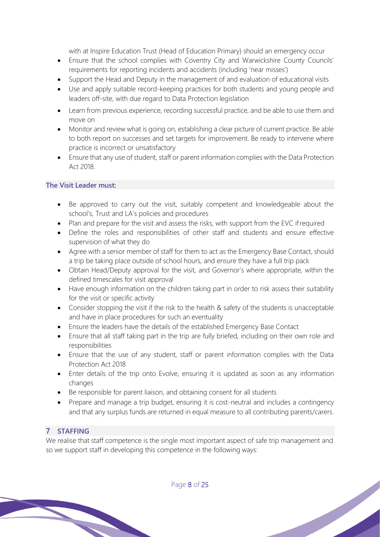with at Inspire Education Trust (Head of Education Primary) should an emergency occur

- Ensure that the school complies with Coventry City and Warwickshire County Councils' requirements for reporting incidents and accidents (including 'near misses')
- Support the Head and Deputy in the management of and evaluation of educational visits
- Use and apply suitable record-keeping practices for both students and young people and leaders off-site, with due regard to Data Protection legislation
- Learn from previous experience, recording successful practice, and be able to use them and move on
- Monitor and review what is going on, establishing a clear picture of current practice. Be able to both report on successes and set targets for improvement. Be ready to intervene where practice is incorrect or unsatisfactory
- Ensure that any use of student, staff or parent information complies with the Data Protection Act 2018.

# **The Visit Leader must:**

- Be approved to carry out the visit, suitably competent and knowledgeable about the school's, Trust and LA's policies and procedures
- Plan and prepare for the visit and assess the risks, with support from the EVC if required
- Define the roles and responsibilities of other staff and students and ensure effective supervision of what they do
- Agree with a senior member of staff for them to act as the Emergency Base Contact, should a trip be taking place outside of school hours, and ensure they have a full trip pack
- Obtain Head/Deputy approval for the visit, and Governor's where appropriate, within the defined timescales for visit approval
- Have enough information on the children taking part in order to risk assess their suitability for the visit or specific activity
- Consider stopping the visit if the risk to the health & safety of the students is unacceptable and have in place procedures for such an eventuality
- Ensure the leaders have the details of the established Emergency Base Contact
- Ensure that all staff taking part in the trip are fully briefed, including on their own role and responsibilities
- Ensure that the use of any student, staff or parent information complies with the Data Protection Act 2018
- Enter details of the trip onto Evolve, ensuring it is updated as soon as any information changes
- Be responsible for parent liaison, and obtaining consent for all students
- Prepare and manage a trip budget, ensuring it is cost-neutral and includes a contingency and that any surplus funds are returned in equal measure to all contributing parents/carers.

# **7 STAFFING**

We realise that staff competence is the single most important aspect of safe trip management and so we support staff in developing this competence in the following ways: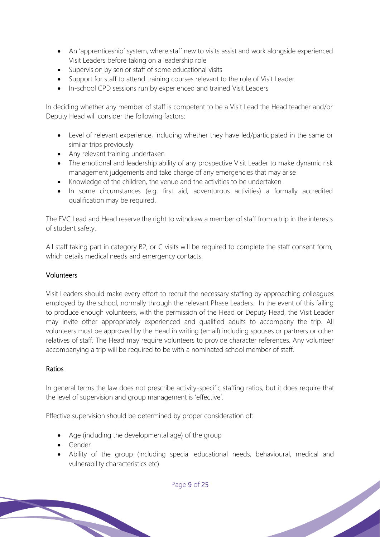- An 'apprenticeship' system, where staff new to visits assist and work alongside experienced Visit Leaders before taking on a leadership role
- Supervision by senior staff of some educational visits
- Support for staff to attend training courses relevant to the role of Visit Leader
- In-school CPD sessions run by experienced and trained Visit Leaders

In deciding whether any member of staff is competent to be a Visit Lead the Head teacher and/or Deputy Head will consider the following factors:

- Level of relevant experience, including whether they have led/participated in the same or similar trips previously
- Any relevant training undertaken
- The emotional and leadership ability of any prospective Visit Leader to make dynamic risk management judgements and take charge of any emergencies that may arise
- Knowledge of the children, the venue and the activities to be undertaken
- In some circumstances (e.g. first aid, adventurous activities) a formally accredited qualification may be required.

The EVC Lead and Head reserve the right to withdraw a member of staff from a trip in the interests of student safety.

All staff taking part in category B2, or C visits will be required to complete the staff consent form, which details medical needs and emergency contacts.

# Volunteers

Visit Leaders should make every effort to recruit the necessary staffing by approaching colleagues employed by the school, normally through the relevant Phase Leaders. In the event of this failing to produce enough volunteers, with the permission of the Head or Deputy Head, the Visit Leader may invite other appropriately experienced and qualified adults to accompany the trip. All volunteers must be approved by the Head in writing (email) including spouses or partners or other relatives of staff. The Head may require volunteers to provide character references. Any volunteer accompanying a trip will be required to be with a nominated school member of staff.

# Ratios

In general terms the law does not prescribe activity-specific staffing ratios, but it does require that the level of supervision and group management is 'effective'.

Effective supervision should be determined by proper consideration of:

- Age (including the developmental age) of the group
- Gender
- Ability of the group (including special educational needs, behavioural, medical and vulnerability characteristics etc)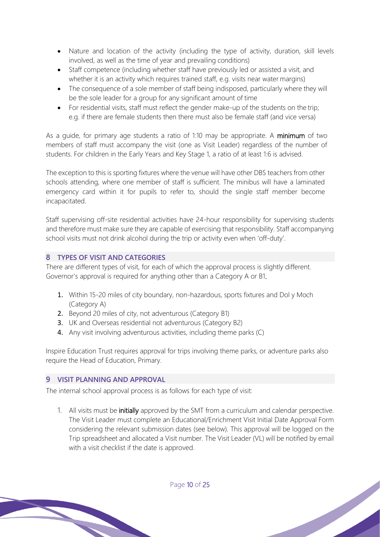- Nature and location of the activity (including the type of activity, duration, skill levels involved, as well as the time of year and prevailing conditions)
- Staff competence (including whether staff have previously led or assisted a visit, and whether it is an activity which requires trained staff, e.g. visits near water margins)
- The consequence of a sole member of staff being indisposed, particularly where they will be the sole leader for a group for any significant amount of time
- For residential visits, staff must reflect the gender make-up of the students on the trip; e.g. if there are female students then there must also be female staff (and vice versa)

As a guide, for primary age students a ratio of 1:10 may be appropriate. A minimum of two members of staff must accompany the visit (one as Visit Leader) regardless of the number of students. For children in the Early Years and Key Stage 1, a ratio of at least 1:6 is advised.

The exception to this is sporting fixtures where the venue will have other DBS teachers from other schools attending, where one member of staff is sufficient. The minibus will have a laminated emergency card within it for pupils to refer to, should the single staff member become incapacitated.

Staff supervising off-site residential activities have 24-hour responsibility for supervising students and therefore must make sure they are capable of exercising that responsibility. Staff accompanying school visits must not drink alcohol during the trip or activity even when 'off-duty'.

# **8 TYPES OF VISIT AND CATEGORIES**

There are different types of visit, for each of which the approval process is slightly different. Governor's approval is required for anything other than a Category A or B1.

- 1. Within 15-20 miles of city boundary, non-hazardous, sports fixtures and Dol y Moch (Category A)
- 2. Beyond 20 miles of city, not adventurous (Category B1)
- 3. UK and Overseas residential not adventurous (Category B2)
- 4. Any visit involving adventurous activities, including theme parks (C)

Inspire Education Trust requires approval for trips involving theme parks, or adventure parks also require the Head of Education, Primary.

# **9 VISIT PLANNING AND APPROVAL**

The internal school approval process is as follows for each type of visit:

1. All visits must be initially approved by the SMT from a curriculum and calendar perspective. The Visit Leader must complete an Educational/Enrichment Visit Initial Date Approval Form considering the relevant submission dates (see below). This approval will be logged on the Trip spreadsheet and allocated a Visit number. The Visit Leader (VL) will be notified by email with a visit checklist if the date is approved.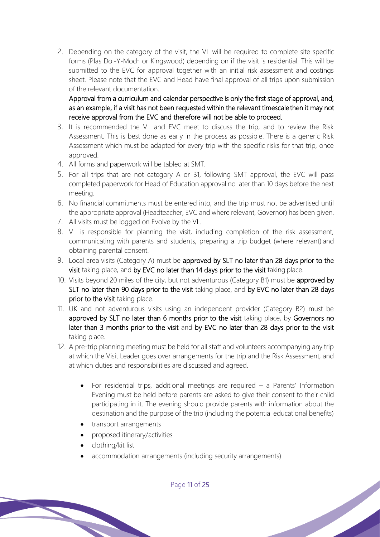2. Depending on the category of the visit, the VL will be required to complete site specific forms (Plas Dol-Y-Moch or Kingswood) depending on if the visit is residential. This will be submitted to the EVC for approval together with an initial risk assessment and costings sheet. Please note that the EVC and Head have final approval of all trips upon submission of the relevant documentation.

Approval from a curriculum and calendar perspective is only the first stage of approval, and, as an example, if a visit has not been requested within the relevant timescale then it may not receive approval from the EVC and therefore will not be able to proceed.

- 3. It is recommended the VL and EVC meet to discuss the trip, and to review the Risk Assessment. This is best done as early in the process as possible. There is a generic Risk Assessment which must be adapted for every trip with the specific risks for that trip, once approved.
- 4. All forms and paperwork will be tabled at SMT.
- 5. For all trips that are not category A or B1, following SMT approval, the EVC will pass completed paperwork for Head of Education approval no later than 10 days before the next meeting.
- 6. No financial commitments must be entered into, and the trip must not be advertised until the appropriate approval (Headteacher, EVC and where relevant, Governor) has been given.
- 7. All visits must be logged on Evolve by the VL.
- 8. VL is responsible for planning the visit, including completion of the risk assessment, communicating with parents and students, preparing a trip budget (where relevant) and obtaining parental consent.
- 9. Local area visits (Category A) must be approved by SLT no later than 28 days prior to the visit taking place, and by EVC no later than 14 days prior to the visit taking place.
- 10. Visits beyond 20 miles of the city, but not adventurous (Category B1) must be approved by SLT no later than 90 days prior to the visit taking place, and by EVC no later than 28 days prior to the visit taking place.
- 11. UK and not adventurous visits using an independent provider (Category B2) must be approved by SLT no later than 6 months prior to the visit taking place, by Governors no later than 3 months prior to the visit and by EVC no later than 28 days prior to the visit taking place.
- 12. A pre-trip planning meeting must be held for all staff and volunteers accompanying any trip at which the Visit Leader goes over arrangements for the trip and the Risk Assessment, and at which duties and responsibilities are discussed and agreed.
	- For residential trips, additional meetings are required  $-$  a Parents' Information Evening must be held before parents are asked to give their consent to their child participating in it. The evening should provide parents with information about the destination and the purpose of the trip (including the potential educational benefits)

- transport arrangements
- proposed itinerary/activities
- clothing/kit list
- accommodation arrangements (including security arrangements)

Page 11 of 25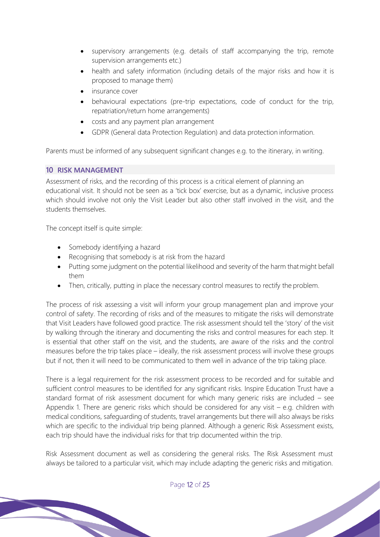- supervisory arrangements (e.g. details of staff accompanying the trip, remote supervision arrangements etc.)
- health and safety information (including details of the major risks and how it is proposed to manage them)
- insurance cover
- behavioural expectations (pre-trip expectations, code of conduct for the trip, repatriation/return home arrangements)
- costs and any payment plan arrangement
- GDPR (General data Protection Regulation) and data protection information.

Parents must be informed of any subsequent significant changes e.g. to the itinerary, in writing.

# **10 RISK MANAGEMENT**

Assessment of risks, and the recording of this process is a critical element of planning an educational visit. It should not be seen as a 'tick box' exercise, but as a dynamic, inclusive process which should involve not only the Visit Leader but also other staff involved in the visit, and the students themselves.

The concept itself is quite simple:

- Somebody identifying a hazard
- Recognising that somebody is at risk from the hazard
- Putting some judgment on the potential likelihood and severity of the harm thatmight befall them
- Then, critically, putting in place the necessary control measures to rectify the problem.

The process of risk assessing a visit will inform your group management plan and improve your control of safety. The recording of risks and of the measures to mitigate the risks will demonstrate that Visit Leaders have followed good practice. The risk assessment should tell the 'story' of the visit by walking through the itinerary and documenting the risks and control measures for each step. It is essential that other staff on the visit, and the students, are aware of the risks and the control measures before the trip takes place – ideally, the risk assessment process will involve these groups but if not, then it will need to be communicated to them well in advance of the trip taking place.

There is a legal requirement for the risk assessment process to be recorded and for suitable and sufficient control measures to be identified for any significant risks. Inspire Education Trust have a standard format of risk assessment document for which many generic risks are included – see Appendix 1. There are generic risks which should be considered for any visit – e.g. children with medical conditions, safeguarding of students, travel arrangements but there will also always be risks which are specific to the individual trip being planned. Although a generic Risk Assessment exists, each trip should have the individual risks for that trip documented within the trip.

Risk Assessment document as well as considering the general risks. The Risk Assessment must always be tailored to a particular visit, which may include adapting the generic risks and mitigation.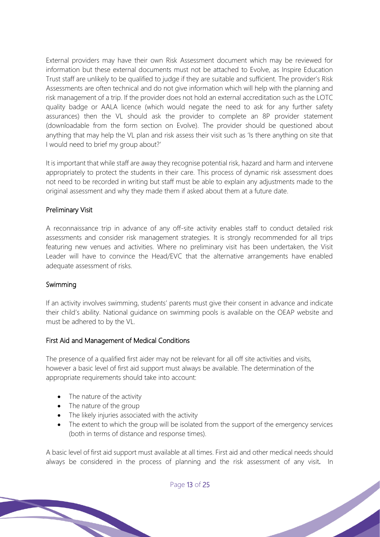External providers may have their own Risk Assessment document which may be reviewed for information but these external documents must not be attached to Evolve, as Inspire Education Trust staff are unlikely to be qualified to judge if they are suitable and sufficient. The provider's Risk Assessments are often technical and do not give information which will help with the planning and risk management of a trip. If the provider does not hold an external accreditation such as the LOTC quality badge or AALA licence (which would negate the need to ask for any further safety assurances) then the VL should ask the provider to complete an 8P provider statement (downloadable from the form section on Evolve). The provider should be questioned about anything that may help the VL plan and risk assess their visit such as 'Is there anything on site that I would need to brief my group about?'

It is important that while staff are away they recognise potential risk, hazard and harm and intervene appropriately to protect the students in their care. This process of dynamic risk assessment does not need to be recorded in writing but staff must be able to explain any adjustments made to the original assessment and why they made them if asked about them at a future date.

#### Preliminary Visit

A reconnaissance trip in advance of any off-site activity enables staff to conduct detailed risk assessments and consider risk management strategies. It is strongly recommended for all trips featuring new venues and activities. Where no preliminary visit has been undertaken, the Visit Leader will have to convince the Head/EVC that the alternative arrangements have enabled adequate assessment of risks.

#### Swimming

If an activity involves swimming, students' parents must give their consent in advance and indicate their child's ability. National guidance on swimming pools is available on the OEAP website and must be adhered to by the VL.

#### First Aid and Management of Medical Conditions

The presence of a qualified first aider may not be relevant for all off site activities and visits, however a basic level of first aid support must always be available. The determination of the appropriate requirements should take into account:

- The nature of the activity
- The nature of the group
- The likely injuries associated with the activity
- The extent to which the group will be isolated from the support of the emergency services (both in terms of distance and response times).

A basic level of first aid support must available at all times. First aid and other medical needs should always be considered in the process of planning and the risk assessment of any visit. In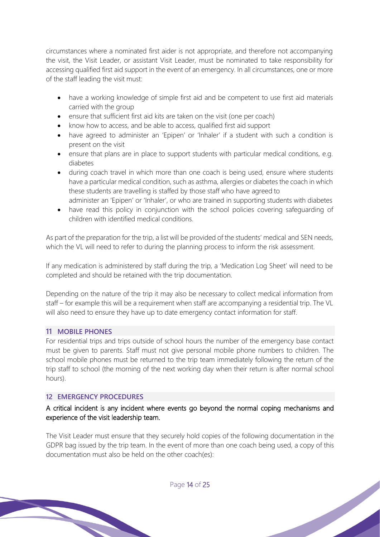circumstances where a nominated first aider is not appropriate, and therefore not accompanying the visit, the Visit Leader, or assistant Visit Leader, must be nominated to take responsibility for accessing qualified first aid support in the event of an emergency. In all circumstances, one or more of the staff leading the visit must:

- have a working knowledge of simple first aid and be competent to use first aid materials carried with the group
- ensure that sufficient first aid kits are taken on the visit (one per coach)
- know how to access, and be able to access, qualified first aid support
- have agreed to administer an 'Epipen' or 'Inhaler' if a student with such a condition is present on the visit
- ensure that plans are in place to support students with particular medical conditions, e.g. diabetes
- during coach travel in which more than one coach is being used, ensure where students have a particular medical condition, such as asthma, allergies or diabetes the coach in which these students are travelling is staffed by those staff who have agreed to administer an 'Epipen' or 'Inhaler', or who are trained in supporting students with diabetes
- have read this policy in conjunction with the school policies covering safeguarding of children with identified medical conditions.

As part of the preparation for the trip, a list will be provided of the students' medical and SEN needs, which the VL will need to refer to during the planning process to inform the risk assessment.

If any medication is administered by staff during the trip, a 'Medication Log Sheet' will need to be completed and should be retained with the trip documentation.

Depending on the nature of the trip it may also be necessary to collect medical information from staff – for example this will be a requirement when staff are accompanying a residential trip. The VL will also need to ensure they have up to date emergency contact information for staff.

# **11 MOBILE PHONES**

For residential trips and trips outside of school hours the number of the emergency base contact must be given to parents. Staff must not give personal mobile phone numbers to children. The school mobile phones must be returned to the trip team immediately following the return of the trip staff to school (the morning of the next working day when their return is after normal school hours).

#### **12 EMERGENCY PROCEDURES**

# A critical incident is any incident where events go beyond the normal coping mechanisms and experience of the visit leadership team.

The Visit Leader must ensure that they securely hold copies of the following documentation in the GDPR bag issued by the trip team. In the event of more than one coach being used, a copy of this documentation must also be held on the other coach(es):

Page 14 of 25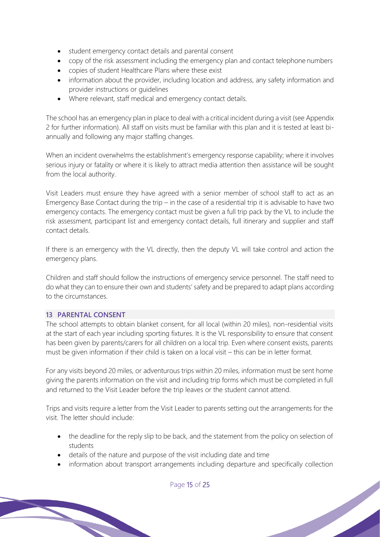- student emergency contact details and parental consent
- copy of the risk assessment including the emergency plan and contact telephone numbers
- copies of student Healthcare Plans where these exist
- information about the provider, including location and address, any safety information and provider instructions or guidelines
- Where relevant, staff medical and emergency contact details.

The school has an emergency plan in place to deal with a critical incident during a visit (see Appendix 2 for further information). All staff on visits must be familiar with this plan and it is tested at least biannually and following any major staffing changes.

When an incident overwhelms the establishment's emergency response capability; where it involves serious injury or fatality or where it is likely to attract media attention then assistance will be sought from the local authority.

Visit Leaders must ensure they have agreed with a senior member of school staff to act as an Emergency Base Contact during the trip – in the case of a residential trip it is advisable to have two emergency contacts. The emergency contact must be given a full trip pack by the VL to include the risk assessment, participant list and emergency contact details, full itinerary and supplier and staff contact details.

If there is an emergency with the VL directly, then the deputy VL will take control and action the emergency plans.

Children and staff should follow the instructions of emergency service personnel. The staff need to do what they can to ensure their own and students' safety and be prepared to adapt plans according to the circumstances.

# **13 PARENTAL CONSENT**

The school attempts to obtain blanket consent, for all local (within 20 miles), non-residential visits at the start of each year including sporting fixtures. It is the VL responsibility to ensure that consent has been given by parents/carers for all children on a local trip. Even where consent exists, parents must be given information if their child is taken on a local visit – this can be in letter format.

For any visits beyond 20 miles, or adventurous trips within 20 miles, information must be sent home giving the parents information on the visit and including trip forms which must be completed in full and returned to the Visit Leader before the trip leaves or the student cannot attend.

Trips and visits require a letter from the Visit Leader to parents setting out the arrangements for the visit. The letter should include:

- the deadline for the reply slip to be back, and the statement from the policy on selection of students
- details of the nature and purpose of the visit including date and time
- information about transport arrangements including departure and specifically collection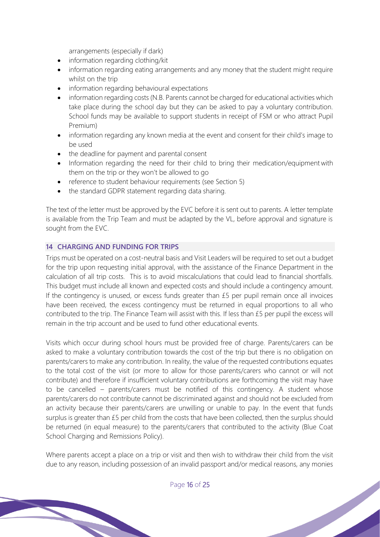arrangements (especially if dark)

- information regarding clothing/kit
- information regarding eating arrangements and any money that the student might require whilst on the trip
- information regarding behavioural expectations
- information regarding costs (N.B. Parents cannot be charged for educational activities which take place during the school day but they can be asked to pay a voluntary contribution. School funds may be available to support students in receipt of FSM or who attract Pupil Premium)
- information regarding any known media at the event and consent for their child's image to be used
- the deadline for payment and parental consent
- Information regarding the need for their child to bring their medication/equipment with them on the trip or they won't be allowed to go
- reference to student behaviour requirements (see Section 5)
- the standard GDPR statement regarding data sharing.

The text of the letter must be approved by the EVC before it is sent out to parents. A letter template is available from the Trip Team and must be adapted by the VL, before approval and signature is sought from the EVC.

#### **14 CHARGING AND FUNDING FOR TRIPS**

Trips must be operated on a cost-neutral basis and Visit Leaders will be required to set out a budget for the trip upon requesting initial approval, with the assistance of the Finance Department in the calculation of all trip costs. This is to avoid miscalculations that could lead to financial shortfalls. This budget must include all known and expected costs and should include a contingency amount. If the contingency is unused, or excess funds greater than £5 per pupil remain once all invoices have been received, the excess contingency must be returned in equal proportions to all who contributed to the trip. The Finance Team will assist with this. If less than £5 per pupil the excess will remain in the trip account and be used to fund other educational events.

Visits which occur during school hours must be provided free of charge. Parents/carers can be asked to make a voluntary contribution towards the cost of the trip but there is no obligation on parents/carers to make any contribution. In reality, the value of the requested contributions equates to the total cost of the visit (or more to allow for those parents/carers who cannot or will not contribute) and therefore if insufficient voluntary contributions are forthcoming the visit may have to be cancelled – parents/carers must be notified of this contingency. A student whose parents/carers do not contribute cannot be discriminated against and should not be excluded from an activity because their parents/carers are unwilling or unable to pay. In the event that funds surplus is greater than £5 per child from the costs that have been collected, then the surplus should be returned (in equal measure) to the parents/carers that contributed to the activity (Blue Coat School Charging and Remissions Policy).

Where parents accept a place on a trip or visit and then wish to withdraw their child from the visit due to any reason, including possession of an invalid passport and/or medical reasons, any monies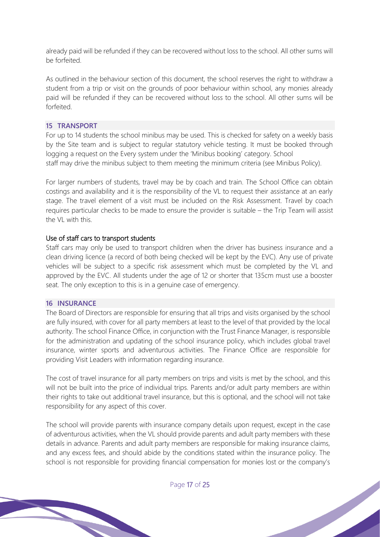already paid will be refunded if they can be recovered without loss to the school. All other sums will be forfeited.

As outlined in the behaviour section of this document, the school reserves the right to withdraw a student from a trip or visit on the grounds of poor behaviour within school, any monies already paid will be refunded if they can be recovered without loss to the school. All other sums will be forfeited.

#### **15 TRANSPORT**

For up to 14 students the school minibus may be used. This is checked for safety on a weekly basis by the Site team and is subject to regular statutory vehicle testing. It must be booked through logging a request on the Every system under the 'Minibus booking' category. School staff may drive the minibus subject to them meeting the minimum criteria (see Minibus Policy).

For larger numbers of students, travel may be by coach and train. The School Office can obtain costings and availability and it is the responsibility of the VL to request their assistance at an early stage. The travel element of a visit must be included on the Risk Assessment. Travel by coach requires particular checks to be made to ensure the provider is suitable – the Trip Team will assist the VL with this.

# Use of staff cars to transport students

Staff cars may only be used to transport children when the driver has business insurance and a clean driving licence (a record of both being checked will be kept by the EVC). Any use of private vehicles will be subject to a specific risk assessment which must be completed by the VL and approved by the EVC. All students under the age of 12 or shorter that 135cm must use a booster seat. The only exception to this is in a genuine case of emergency.

#### **16 INSURANCE**

The Board of Directors are responsible for ensuring that all trips and visits organised by the school are fully insured, with cover for all party members at least to the level of that provided by the local authority. The school Finance Office, in conjunction with the Trust Finance Manager, is responsible for the administration and updating of the school insurance policy, which includes global travel insurance, winter sports and adventurous activities. The Finance Office are responsible for providing Visit Leaders with information regarding insurance.

The cost of travel insurance for all party members on trips and visits is met by the school, and this will not be built into the price of individual trips. Parents and/or adult party members are within their rights to take out additional travel insurance, but this is optional, and the school will not take responsibility for any aspect of this cover.

The school will provide parents with insurance company details upon request, except in the case of adventurous activities, when the VL should provide parents and adult party members with these details in advance. Parents and adult party members are responsible for making insurance claims, and any excess fees, and should abide by the conditions stated within the insurance policy. The school is not responsible for providing financial compensation for monies lost or the company's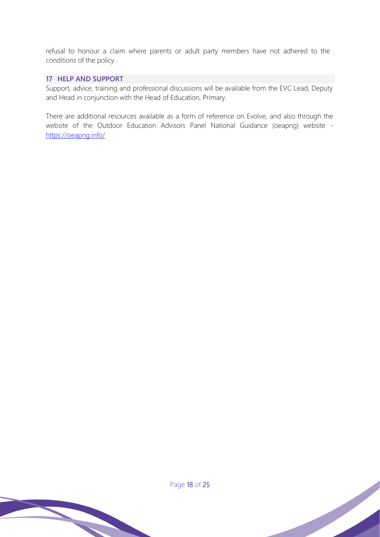refusal to honour a claim where parents or adult party members have not adhered to the conditions of the policy.

# **17 HELP AND SUPPORT**

Support, advice, training and professional discussions will be available from the EVC Lead, Deputy and Head in conjunction with the Head of Education, Primary.

There are additional resources available as a form of reference on Evolve, and also through the website of the Outdoor Education Advisors Panel National Guidance (oeapng) website https://oeapng.info/

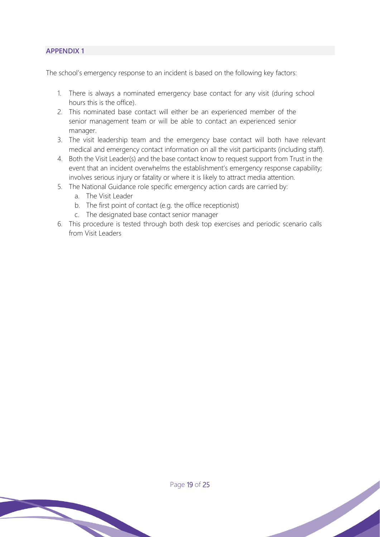The school's emergency response to an incident is based on the following key factors:

- 1. There is always a nominated emergency base contact for any visit (during school hours this is the office).
- 2. This nominated base contact will either be an experienced member of the senior management team or will be able to contact an experienced senior manager.
- 3. The visit leadership team and the emergency base contact will both have relevant medical and emergency contact information on all the visit participants (including staff).
- 4. Both the Visit Leader(s) and the base contact know to request support from Trust in the event that an incident overwhelms the establishment's emergency response capability; involves serious injury or fatality or where it is likely to attract media attention.
- 5. The National Guidance role specific emergency action cards are carried by:
	- a. The Visit Leader
	- b. The first point of contact (e.g. the office receptionist)
	- c. The designated base contact senior manager
- 6. This procedure is tested through both desk top exercises and periodic scenario calls from Visit Leaders

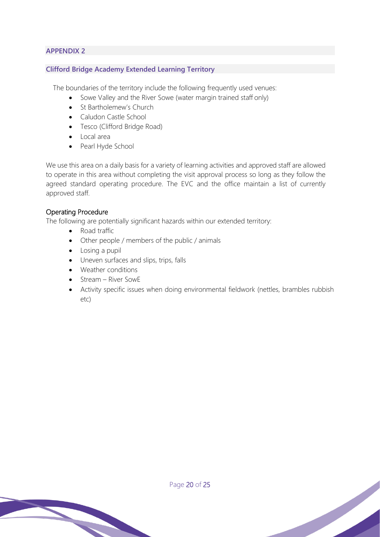# **Clifford Bridge Academy Extended Learning Territory**

The boundaries of the territory include the following frequently used venues:

- Sowe Valley and the River Sowe (water margin trained staff only)
- St Bartholemew's Church
- Caludon Castle School
- Tesco (Clifford Bridge Road)
- Local area
- Pearl Hyde School

We use this area on a daily basis for a variety of learning activities and approved staff are allowed to operate in this area without completing the visit approval process so long as they follow the agreed standard operating procedure. The EVC and the office maintain a list of currently approved staff.

# Operating Procedure

The following are potentially significant hazards within our extended territory:

- Road traffic
- Other people / members of the public / animals
- Losing a pupil
- Uneven surfaces and slips, trips, falls
- Weather conditions
- Stream River SowE
- Activity specific issues when doing environmental fieldwork (nettles, brambles rubbish etc)

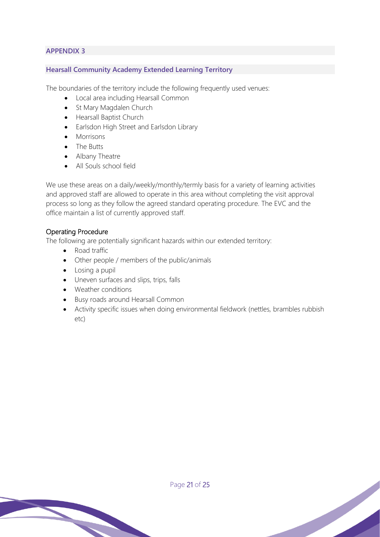#### **Hearsall Community Academy Extended Learning Territory**

The boundaries of the territory include the following frequently used venues:

- Local area including Hearsall Common
- St Mary Magdalen Church
- Hearsall Baptist Church
- Earlsdon High Street and Earlsdon Library
- Morrisons
- The Butts
- Albany Theatre
- All Souls school field

We use these areas on a daily/weekly/monthly/termly basis for a variety of learning activities and approved staff are allowed to operate in this area without completing the visit approval process so long as they follow the agreed standard operating procedure. The EVC and the office maintain a list of currently approved staff.

# Operating Procedure

The following are potentially significant hazards within our extended territory:

- Road traffic
- Other people / members of the public/animals
- Losing a pupil
- Uneven surfaces and slips, trips, falls
- Weather conditions
- Busy roads around Hearsall Common
- Activity specific issues when doing environmental fieldwork (nettles, brambles rubbish etc)

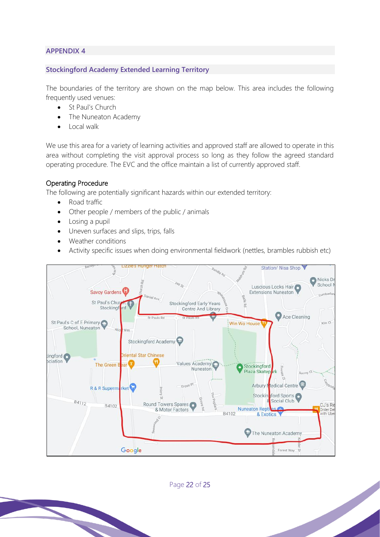#### **Stockingford Academy Extended Learning Territory**

The boundaries of the territory are shown on the map below. This area includes the following frequently used venues:

- St Paul's Church
- The Nuneaton Academy
- Local walk

We use this area for a variety of learning activities and approved staff are allowed to operate in this area without completing the visit approval process so long as they follow the agreed standard operating procedure. The EVC and the office maintain a list of currently approved staff.

# Operating Procedure

The following are potentially significant hazards within our extended territory:

- Road traffic
- Other people / members of the public / animals
- Losing a pupil
- Uneven surfaces and slips, trips, falls
- Weather conditions
- Activity specific issues when doing environmental fieldwork (nettles, brambles rubbish etc)



Page 22 of 25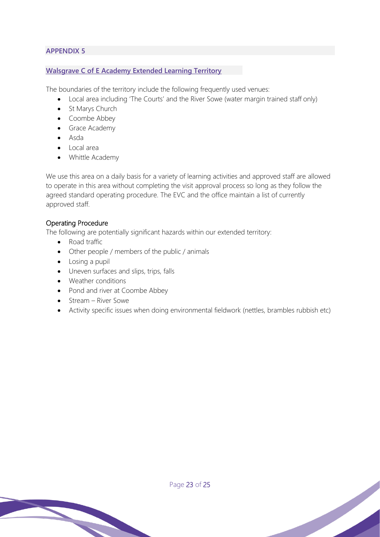#### **Walsgrave C of E Academy Extended Learning Territory**

The boundaries of the territory include the following frequently used venues:

- Local area including 'The Courts' and the River Sowe (water margin trained staff only)
- St Marys Church
- Coombe Abbey
- Grace Academy
- Asda
- Local area
- Whittle Academy

We use this area on a daily basis for a variety of learning activities and approved staff are allowed to operate in this area without completing the visit approval process so long as they follow the agreed standard operating procedure. The EVC and the office maintain a list of currently approved staff.

#### Operating Procedure

The following are potentially significant hazards within our extended territory:

- Road traffic
- Other people / members of the public / animals
- Losing a pupil
- Uneven surfaces and slips, trips, falls
- Weather conditions
- Pond and river at Coombe Abbey
- Stream River Sowe
- Activity specific issues when doing environmental fieldwork (nettles, brambles rubbish etc)

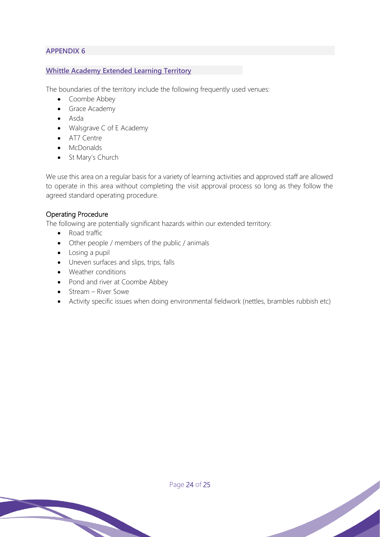#### **Whittle Academy Extended Learning Territory**

The boundaries of the territory include the following frequently used venues:

- Coombe Abbey
- Grace Academy
- Asda
- Walsgrave C of E Academy
- AT7 Centre
- McDonalds
- St Mary's Church

We use this area on a regular basis for a variety of learning activities and approved staff are allowed to operate in this area without completing the visit approval process so long as they follow the agreed standard operating procedure.

# Operating Procedure

The following are potentially significant hazards within our extended territory:

- Road traffic
- Other people / members of the public / animals
- Losing a pupil
- Uneven surfaces and slips, trips, falls
- Weather conditions
- Pond and river at Coombe Abbey
- Stream River Sowe
- Activity specific issues when doing environmental fieldwork (nettles, brambles rubbish etc)